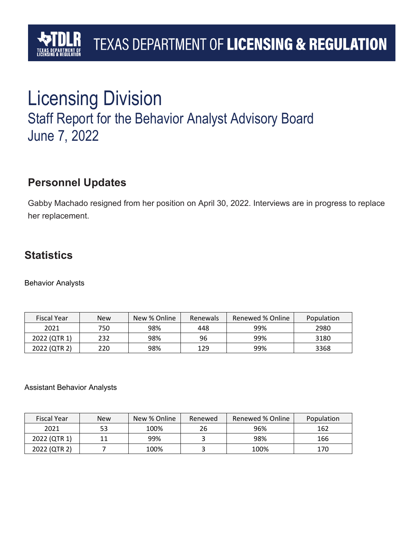## Licensing Division Staff Report for the Behavior Analyst Advisory Board June 7, 2022

## **Personnel Updates**

Gabby Machado resigned from her position on April 30, 2022. Interviews are in progress to replace her replacement.

## **Statistics**

Behavior Analysts

| <b>Fiscal Year</b> | New | New % Online | Renewals | Renewed % Online | Population |
|--------------------|-----|--------------|----------|------------------|------------|
| 2021               | 750 | 98%          | 448      | 99%              | 2980       |
| 2022 (QTR 1)       | 232 | 98%          | 96       | 99%              | 3180       |
| 2022 (QTR 2)       | 220 | 98%          | 129      | 99%              | 3368       |

#### Assistant Behavior Analysts

| <b>Fiscal Year</b> | New | New % Online | Renewed | Renewed % Online | Population |
|--------------------|-----|--------------|---------|------------------|------------|
| 2021               | 53  | 100%         |         | 96%              | 162        |
| 2022 (QTR 1)       | 11  | 99%          |         | 98%              | 166        |
| 2022 (QTR 2)       |     | 100%         |         | 100%             | 170        |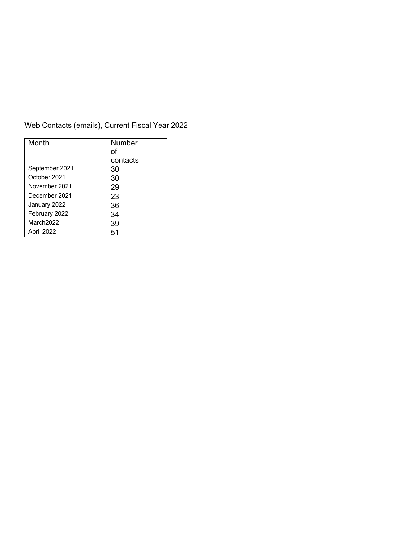| Month          | Number   |  |
|----------------|----------|--|
|                | of       |  |
|                | contacts |  |
| September 2021 | 30       |  |
| October 2021   | 30       |  |
| November 2021  | 29       |  |
| December 2021  | 23       |  |
| January 2022   | 36       |  |
| February 2022  | 34       |  |
| March2022      | 39       |  |
| April 2022     | 51       |  |

#### Web Contacts (emails), Current Fiscal Year 2022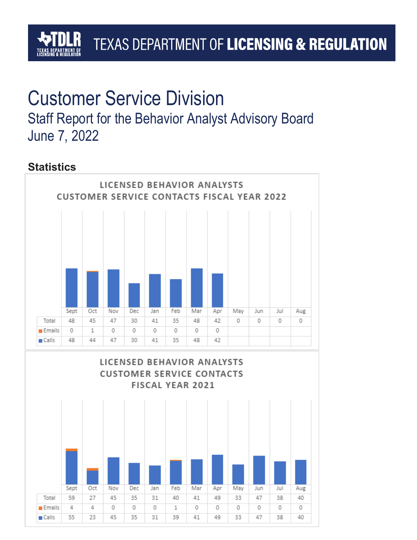# Customer Service Division

Staff Report for the Behavior Analyst Advisory Board June 7, 2022

## **Statistics**



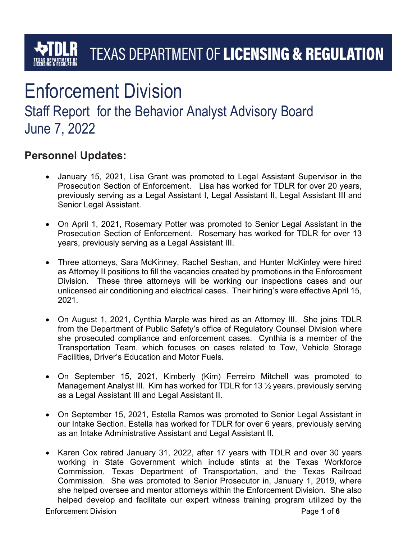# Enforcement Division

Staff Report for the Behavior Analyst Advisory Board June 7, 2022

## Personnel Updates:

- January 15, 2021, Lisa Grant was promoted to Legal Assistant Supervisor in the Prosecution Section of Enforcement. Lisa has worked for TDLR for over 20 years, previously serving as a Legal Assistant I, Legal Assistant II, Legal Assistant III and Senior Legal Assistant.
- On April 1, 2021, Rosemary Potter was promoted to Senior Legal Assistant in the Prosecution Section of Enforcement. Rosemary has worked for TDLR for over 13 years, previously serving as a Legal Assistant III.
- Three attorneys, Sara McKinney, Rachel Seshan, and Hunter McKinley were hired as Attorney II positions to fill the vacancies created by promotions in the Enforcement Division. These three attorneys will be working our inspections cases and our unlicensed air conditioning and electrical cases. Their hiring's were effective April 15, 2021.
- On August 1, 2021, Cynthia Marple was hired as an Attorney III. She joins TDLR from the Department of Public Safety's office of Regulatory Counsel Division where she prosecuted compliance and enforcement cases. Cynthia is a member of the Transportation Team, which focuses on cases related to Tow, Vehicle Storage Facilities, Driver's Education and Motor Fuels.
- On September 15, 2021, Kimberly (Kim) Ferreiro Mitchell was promoted to Management Analyst III. Kim has worked for TDLR for 13 ½ years, previously serving as a Legal Assistant III and Legal Assistant II.
- On September 15, 2021, Estella Ramos was promoted to Senior Legal Assistant in our Intake Section. Estella has worked for TDLR for over 6 years, previously serving as an Intake Administrative Assistant and Legal Assistant II.
- Karen Cox retired January 31, 2022, after 17 years with TDLR and over 30 years working in State Government which include stints at the Texas Workforce Commission, Texas Department of Transportation, and the Texas Railroad Commission. She was promoted to Senior Prosecutor in, January 1, 2019, where she helped oversee and mentor attorneys within the Enforcement Division. She also helped develop and facilitate our expert witness training program utilized by the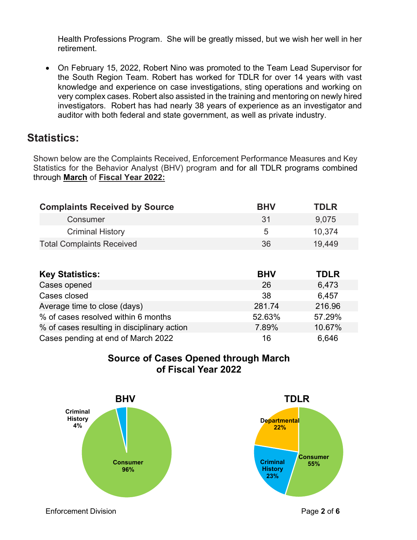Health Professions Program. She will be greatly missed, but we wish her well in her retirement.

 On February 15, 2022, Robert Nino was promoted to the Team Lead Supervisor for the South Region Team. Robert has worked for TDLR for over 14 years with vast knowledge and experience on case investigations, sting operations and working on very complex cases. Robert also assisted in the training and mentoring on newly hired investigators. Robert has had nearly 38 years of experience as an investigator and auditor with both federal and state government, as well as private industry.

## Statistics:

Shown below are the Complaints Received, Enforcement Performance Measures and Key Statistics for the Behavior Analyst (BHV) program and for all TDLR programs combined through March of Fiscal Year 2022:

| <b>Complaints Received by Source</b> | <b>BHV</b> | <b>TDLR</b> |
|--------------------------------------|------------|-------------|
| Consumer                             | -31        | 9.075       |
| <b>Criminal History</b>              | 5          | 10.374      |
| <b>Total Complaints Received</b>     | 36         | 19.449      |

| <b>Key Statistics:</b>                      | <b>BHV</b> | <b>TDLR</b> |
|---------------------------------------------|------------|-------------|
| Cases opened                                | 26         | 6,473       |
| Cases closed                                | 38         | 6,457       |
| Average time to close (days)                | 281.74     | 216.96      |
| % of cases resolved within 6 months         | 52.63%     | 57.29%      |
| % of cases resulting in disciplinary action | 7.89%      | 10.67%      |
| Cases pending at end of March 2022          | 16         | 6,646       |



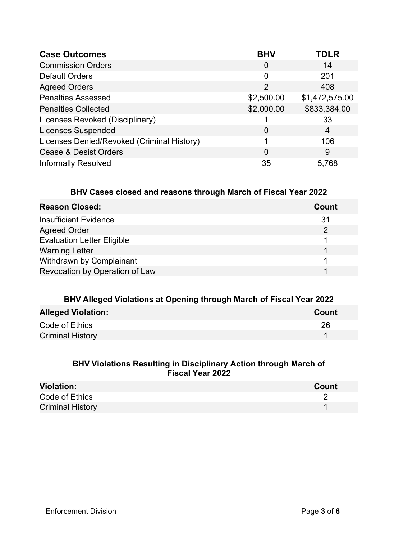| <b>Case Outcomes</b>                       | <b>BHV</b> | <b>TDLR</b>    |
|--------------------------------------------|------------|----------------|
| <b>Commission Orders</b>                   | 0          | 14             |
| <b>Default Orders</b>                      | 0          | 201            |
| <b>Agreed Orders</b>                       | 2          | 408            |
| <b>Penalties Assessed</b>                  | \$2,500.00 | \$1,472,575.00 |
| <b>Penalties Collected</b>                 | \$2,000.00 | \$833,384.00   |
| Licenses Revoked (Disciplinary)            |            | 33             |
| <b>Licenses Suspended</b>                  | 0          | 4              |
| Licenses Denied/Revoked (Criminal History) |            | 106            |
| <b>Cease &amp; Desist Orders</b>           | 0          | 9              |
| <b>Informally Resolved</b>                 | 35         | 5,768          |

#### BHV Cases closed and reasons through March of Fiscal Year 2022

| <b>Reason Closed:</b>             | Count |
|-----------------------------------|-------|
| <b>Insufficient Evidence</b>      | 31    |
| <b>Agreed Order</b>               |       |
| <b>Evaluation Letter Eligible</b> |       |
| <b>Warning Letter</b>             |       |
| Withdrawn by Complainant          |       |
| Revocation by Operation of Law    |       |

| BHV Alleged Violations at Opening through March of Fiscal Year 2022 |       |  |
|---------------------------------------------------------------------|-------|--|
| <b>Alleged Violation:</b>                                           | Count |  |
| Code of Ethics                                                      | 26    |  |
| <b>Criminal History</b>                                             |       |  |

#### BHV Violations Resulting in Disciplinary Action through March of Fiscal Year 2022

| <b>Violation:</b>       | Count |
|-------------------------|-------|
| Code of Ethics          |       |
| <b>Criminal History</b> |       |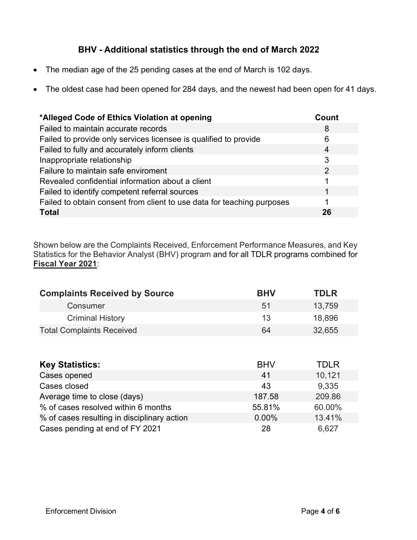#### BHV - Additional statistics through the end of March 2022

- The median age of the 25 pending cases at the end of March is 102 days.
- The oldest case had been opened for 284 days, and the newest had been open for 41 days.

| *Alleged Code of Ethics Violation at opening                           | Count |
|------------------------------------------------------------------------|-------|
| Failed to maintain accurate records                                    | 8     |
| Failed to provide only services licensee is qualified to provide       | 6     |
| Failed to fully and accurately inform clients                          | 4     |
| Inappropriate relationship                                             | 3     |
| Failure to maintain safe enviroment                                    | 2     |
| Revealed confidential information about a client                       |       |
| Failed to identify competent referral sources                          |       |
| Failed to obtain consent from client to use data for teaching purposes |       |
| <b>Total</b>                                                           | 26    |

Shown below are the Complaints Received, Enforcement Performance Measures, and Key Statistics for the Behavior Analyst (BHV) program and for all TDLR programs combined for Fiscal Year 2021:

| <b>Complaints Received by Source</b>        | <b>BHV</b> | <b>TDLR</b> |
|---------------------------------------------|------------|-------------|
| Consumer                                    | 51         | 13,759      |
| <b>Criminal History</b>                     | 13         | 18,896      |
| <b>Total Complaints Received</b>            | 64         | 32,655      |
|                                             |            |             |
| <b>Key Statistics:</b>                      | <b>BHV</b> | <b>TDLR</b> |
| Cases opened                                | 41         | 10,121      |
| Cases closed                                | 43         | 9,335       |
| Average time to close (days)                | 187.58     | 209.86      |
| % of cases resolved within 6 months         | 55.81%     | 60.00%      |
| % of cases resulting in disciplinary action | 0.00%      | 13.41%      |
| Cases pending at end of FY 2021             | 28         | 6,627       |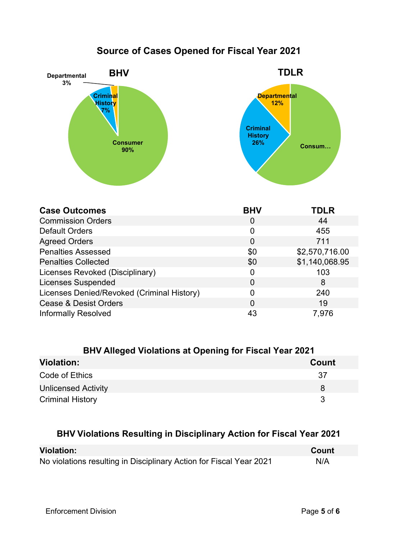## Source of Cases Opened for Fiscal Year 2021



| <b>Case Outcomes</b>                       | <b>BHV</b>     | <b>TDLR</b>    |
|--------------------------------------------|----------------|----------------|
| <b>Commission Orders</b>                   | $\overline{0}$ | 44             |
| <b>Default Orders</b>                      | 0              | 455            |
| <b>Agreed Orders</b>                       | $\overline{0}$ | 711            |
| <b>Penalties Assessed</b>                  | \$0            | \$2,570,716.00 |
| <b>Penalties Collected</b>                 | \$0            | \$1,140,068.95 |
| Licenses Revoked (Disciplinary)            | 0              | 103            |
| <b>Licenses Suspended</b>                  | 0              | 8              |
| Licenses Denied/Revoked (Criminal History) | 0              | 240            |
| <b>Cease &amp; Desist Orders</b>           | 0              | 19             |
| <b>Informally Resolved</b>                 | 43             | 7,976          |

| <b>BHV Alleged Violations at Opening for Fiscal Year 2021</b> |       |
|---------------------------------------------------------------|-------|
| <b>Violation:</b>                                             | Count |
| Code of Ethics                                                | -37   |
| <b>Unlicensed Activity</b>                                    | 8     |
| <b>Criminal History</b>                                       | 3     |

#### BHV Violations Resulting in Disciplinary Action for Fiscal Year 2021

| <b>Violation:</b>                                                   | Count |
|---------------------------------------------------------------------|-------|
| No violations resulting in Disciplinary Action for Fiscal Year 2021 | N/A   |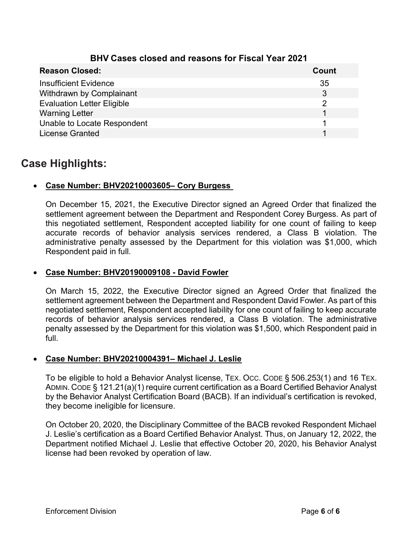| <b>Reason Closed:</b>             | Count |
|-----------------------------------|-------|
| <b>Insufficient Evidence</b>      | 35    |
| Withdrawn by Complainant          | 3     |
| <b>Evaluation Letter Eligible</b> | ႒     |
| <b>Warning Letter</b>             |       |
| Unable to Locate Respondent       |       |
| <b>License Granted</b>            |       |

#### BHV Cases closed and reasons for Fiscal Year 2021

### Case Highlights:

#### Case Number: BHV20210003605– Cory Burgess

On December 15, 2021, the Executive Director signed an Agreed Order that finalized the settlement agreement between the Department and Respondent Corey Burgess. As part of this negotiated settlement, Respondent accepted liability for one count of failing to keep accurate records of behavior analysis services rendered, a Class B violation. The administrative penalty assessed by the Department for this violation was \$1,000, which Respondent paid in full.

#### Case Number: BHV20190009108 - David Fowler

On March 15, 2022, the Executive Director signed an Agreed Order that finalized the settlement agreement between the Department and Respondent David Fowler. As part of this negotiated settlement, Respondent accepted liability for one count of failing to keep accurate records of behavior analysis services rendered, a Class B violation. The administrative penalty assessed by the Department for this violation was \$1,500, which Respondent paid in full.

#### Case Number: BHV20210004391– Michael J. Leslie

To be eligible to hold a Behavior Analyst license, TEX. OCC. CODE § 506.253(1) and 16 TEX. ADMIN. CODE § 121.21(a)(1) require current certification as a Board Certified Behavior Analyst by the Behavior Analyst Certification Board (BACB). If an individual's certification is revoked, they become ineligible for licensure.

On October 20, 2020, the Disciplinary Committee of the BACB revoked Respondent Michael J. Leslie's certification as a Board Certified Behavior Analyst. Thus, on January 12, 2022, the Department notified Michael J. Leslie that effective October 20, 2020, his Behavior Analyst license had been revoked by operation of law.